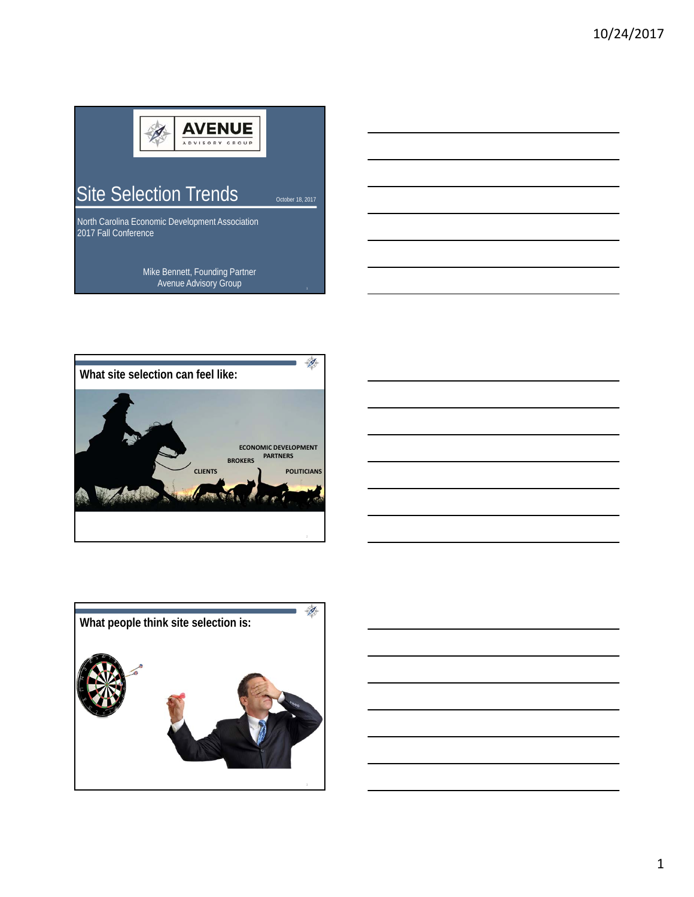

Site Selection Trends <sub>October 18, 2017</sub>

North Carolina Economic Development Association 2017 Fall Conference

> Mike Bennett, Founding Partner Avenue Advisory Group



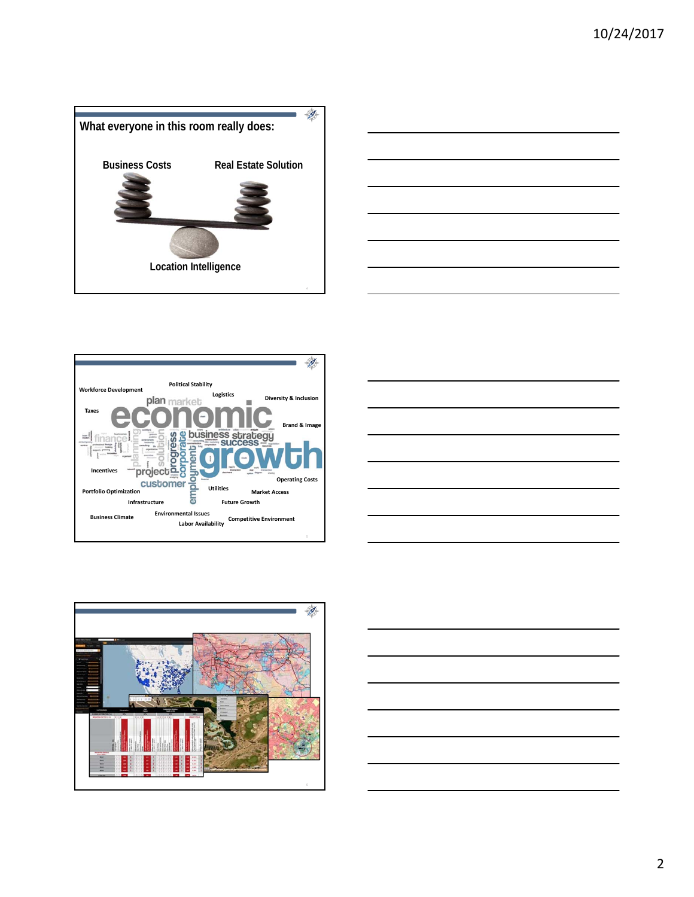









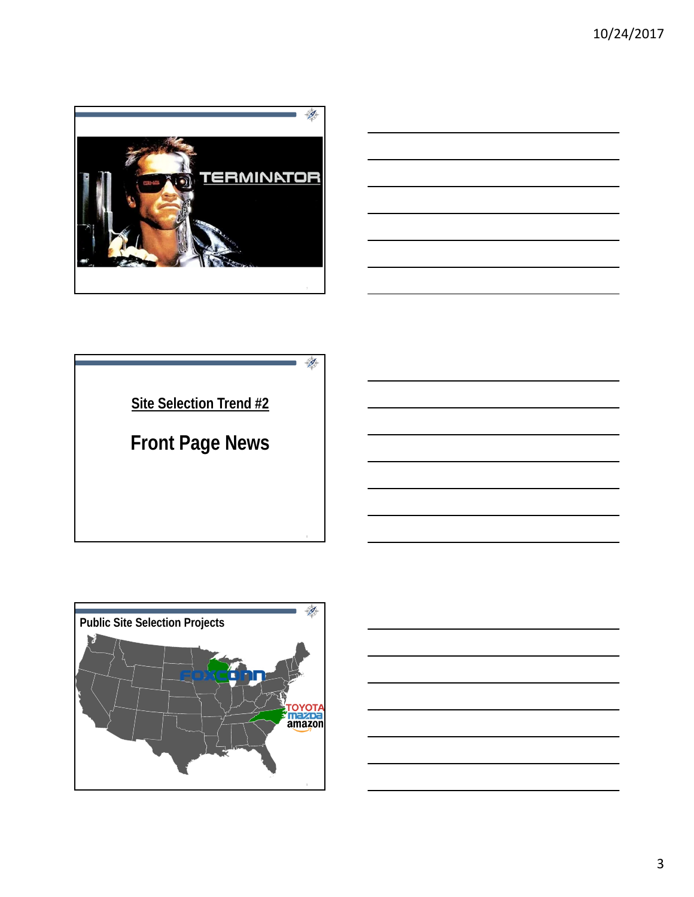







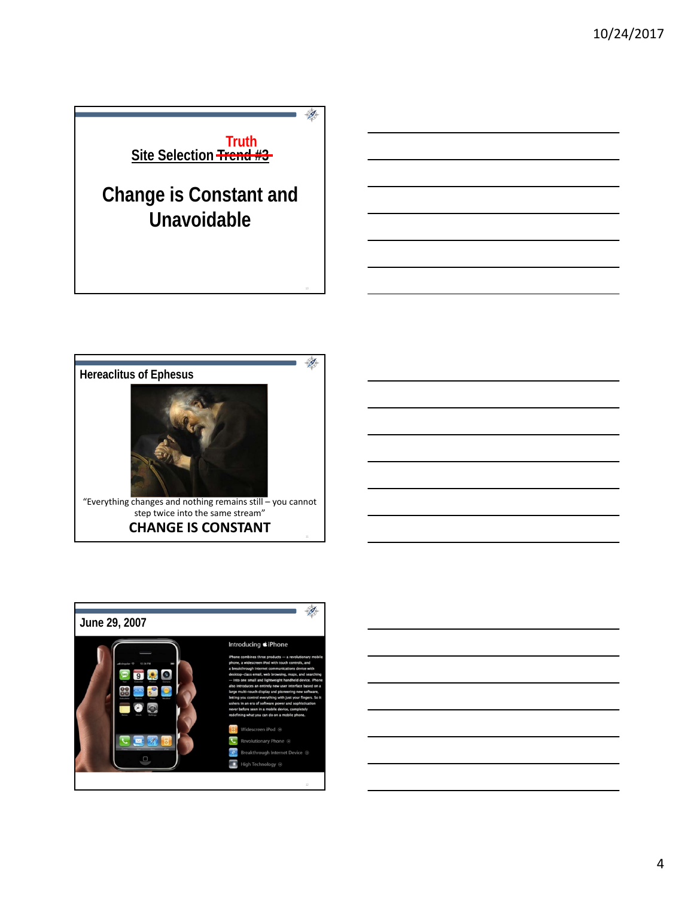





4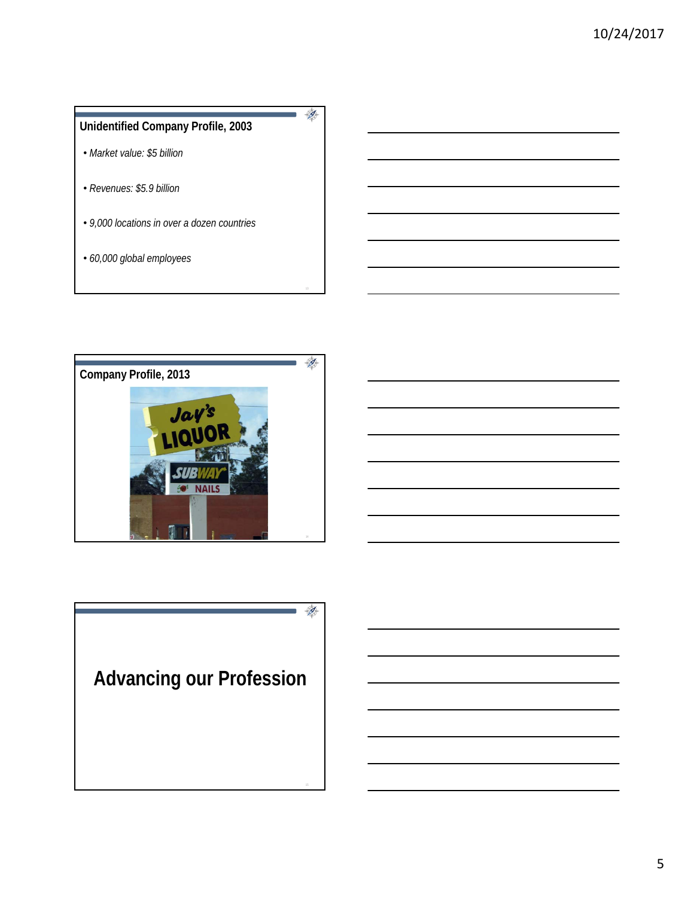





5